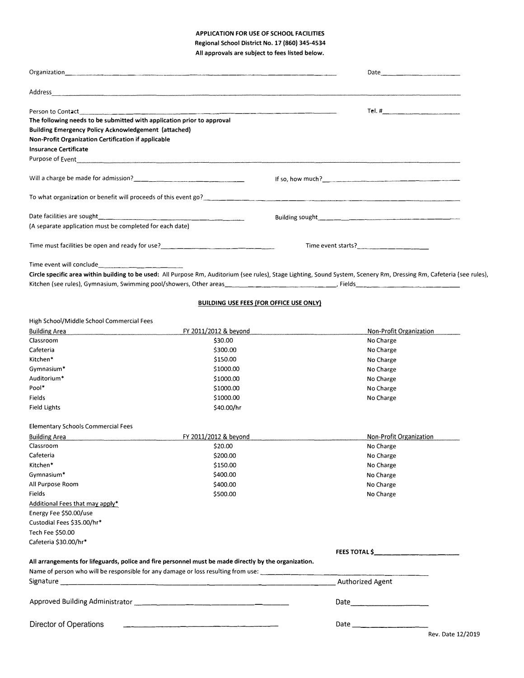### **APPLICATION FOR USE OF SCHOOL FACILITIES**

**Regional School District No. 17 (860) 345-4534 All approvals are subject to fees listed below.** 

| Address                                                                                            |                                                                                                       |                                                                                                                                                                                                                                                                                                                                       |
|----------------------------------------------------------------------------------------------------|-------------------------------------------------------------------------------------------------------|---------------------------------------------------------------------------------------------------------------------------------------------------------------------------------------------------------------------------------------------------------------------------------------------------------------------------------------|
| Person to Contact                                                                                  |                                                                                                       |                                                                                                                                                                                                                                                                                                                                       |
| The following needs to be submitted with application prior to approval                             |                                                                                                       |                                                                                                                                                                                                                                                                                                                                       |
| Building Emergency Policy Acknowledgement (attached)                                               |                                                                                                       |                                                                                                                                                                                                                                                                                                                                       |
| Non-Profit Organization Certification if applicable                                                |                                                                                                       |                                                                                                                                                                                                                                                                                                                                       |
| <b>Insurance Certificate</b>                                                                       |                                                                                                       |                                                                                                                                                                                                                                                                                                                                       |
|                                                                                                    |                                                                                                       |                                                                                                                                                                                                                                                                                                                                       |
|                                                                                                    |                                                                                                       | If so, how much? $\qquad \qquad$ $\qquad$ $\qquad$ $\qquad$ $\qquad$ $\qquad$ $\qquad$ $\qquad$ $\qquad$ $\qquad$ $\qquad$ $\qquad$ $\qquad$ $\qquad$ $\qquad$ $\qquad$ $\qquad$ $\qquad$ $\qquad$ $\qquad$ $\qquad$ $\qquad$ $\qquad$ $\qquad$ $\qquad$ $\qquad$ $\qquad$ $\qquad$ $\qquad$ $\qquad$ $\qquad$ $\qquad$ $\qquad$ $\q$ |
|                                                                                                    |                                                                                                       | To what organization or benefit will proceeds of this event go?<br>The manufacture of the manufacture of the second state of this event go?                                                                                                                                                                                           |
|                                                                                                    |                                                                                                       |                                                                                                                                                                                                                                                                                                                                       |
| (A separate application must be completed for each date)                                           |                                                                                                       |                                                                                                                                                                                                                                                                                                                                       |
| Time must facilities be open and ready for use?<br>Time must facilities be open and ready for use? |                                                                                                       | Time event starts?                                                                                                                                                                                                                                                                                                                    |
| Time event will conclude                                                                           |                                                                                                       |                                                                                                                                                                                                                                                                                                                                       |
|                                                                                                    |                                                                                                       | Circle specific area within building to be used: All Purpose Rm, Auditorium (see rules), Stage Lighting, Sound System, Scenery Rm, Dressing Rm, Cafeteria (see rules),                                                                                                                                                                |
|                                                                                                    | BUILDING USE FEES (FOR OFFICE USE ONLY)                                                               |                                                                                                                                                                                                                                                                                                                                       |
| High School/Middle School Commercial Fees                                                          |                                                                                                       |                                                                                                                                                                                                                                                                                                                                       |
| <b>Building Area</b>                                                                               | FY 2011/2012 & beyond                                                                                 | Non-Profit Organization                                                                                                                                                                                                                                                                                                               |
| Classroom                                                                                          | \$30,00                                                                                               | No Charge                                                                                                                                                                                                                                                                                                                             |
| Cafeteria                                                                                          | \$300.00                                                                                              | No Charge                                                                                                                                                                                                                                                                                                                             |
| Kitchen*                                                                                           | \$150.00                                                                                              | No Charge                                                                                                                                                                                                                                                                                                                             |
| Gymnasium*                                                                                         | \$1000.00                                                                                             | No Charge                                                                                                                                                                                                                                                                                                                             |
| Auditorium*                                                                                        | \$1000.00                                                                                             | No Charge                                                                                                                                                                                                                                                                                                                             |
| Pool*                                                                                              | \$1000.00                                                                                             | No Charge                                                                                                                                                                                                                                                                                                                             |
| Fields                                                                                             | \$1000.00                                                                                             | No Charge                                                                                                                                                                                                                                                                                                                             |
| Field Lights                                                                                       | \$40.00/hr                                                                                            |                                                                                                                                                                                                                                                                                                                                       |
| <b>Elementary Schools Commercial Fees</b>                                                          |                                                                                                       |                                                                                                                                                                                                                                                                                                                                       |
| <b>Building Area</b>                                                                               | FY 2011/2012 & beyond                                                                                 | Non-Profit Organization                                                                                                                                                                                                                                                                                                               |
| Classroom                                                                                          | \$20.00                                                                                               | No Charge                                                                                                                                                                                                                                                                                                                             |
| Cafeteria                                                                                          | \$200.00                                                                                              | No Charge                                                                                                                                                                                                                                                                                                                             |
| Kitchen*                                                                                           | \$150.00                                                                                              | No Charge                                                                                                                                                                                                                                                                                                                             |
| Gymnasium*                                                                                         | \$400.00                                                                                              | No Charge                                                                                                                                                                                                                                                                                                                             |
| All Purpose Room                                                                                   | \$400.00                                                                                              | No Charge                                                                                                                                                                                                                                                                                                                             |
| Fields                                                                                             | \$500.00                                                                                              | No Charge                                                                                                                                                                                                                                                                                                                             |
| Additional Fees that may apply*                                                                    |                                                                                                       |                                                                                                                                                                                                                                                                                                                                       |
| Energy Fee \$50.00/use                                                                             |                                                                                                       |                                                                                                                                                                                                                                                                                                                                       |
| Custodial Fees \$35.00/hr*                                                                         |                                                                                                       |                                                                                                                                                                                                                                                                                                                                       |
|                                                                                                    |                                                                                                       |                                                                                                                                                                                                                                                                                                                                       |
| Tech Fee \$50.00                                                                                   |                                                                                                       |                                                                                                                                                                                                                                                                                                                                       |
| Cafeteria \$30.00/hr*                                                                              |                                                                                                       | FEES TOTAL \$__________________                                                                                                                                                                                                                                                                                                       |
|                                                                                                    | All arrangements for lifeguards, police and fire personnel must be made directly by the organization. |                                                                                                                                                                                                                                                                                                                                       |
|                                                                                                    |                                                                                                       |                                                                                                                                                                                                                                                                                                                                       |
|                                                                                                    |                                                                                                       | Authorized Agent                                                                                                                                                                                                                                                                                                                      |
| Approved Building Administrator __________________________________                                 |                                                                                                       |                                                                                                                                                                                                                                                                                                                                       |
| Director of Operations                                                                             |                                                                                                       |                                                                                                                                                                                                                                                                                                                                       |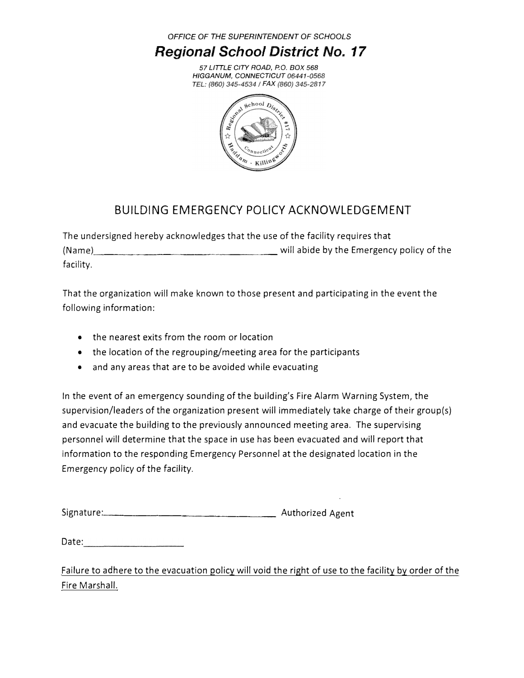*OFFICE OF THE SUPERINTENDENT OF SCHOOLS* 

## *Regional School District No. 17*

*57 LITTLE CITY ROAD, P.O. BOX 588 HIGGANUM, CONNECTICUT*  TEL: (860) 345-4534 / FAX (860) 345-2817



## BUILDING EMERGENCY POLICY ACKNOWLEDGEMENT

The undersigned hereby acknowledges that the use of the facility requires that (Name)  $\frac{1}{2}$  will abide by the Emergency policy of the facility.

That the organization will make known to those present and participating in the event the following information:

- the nearest exits from the room or location
- the location of the regrouping/meeting area for the participants
- and any areas that are to be avoided while evacuating

In the event of an emergency sounding of the building's Fire Alarm Warning System, the supervision/leaders of the organization present will immediately take charge of their group(s) and evacuate the building to the previously announced meeting area. The supervising personnel will determine that the space in use has been evacuated and will report that information to the responding Emergency Personnel at the designated location in the Emergency policy of the facility.

Date:

Failure to adhere to the evacuation policy will void the right of use to the facility by order of the Fire Marshall.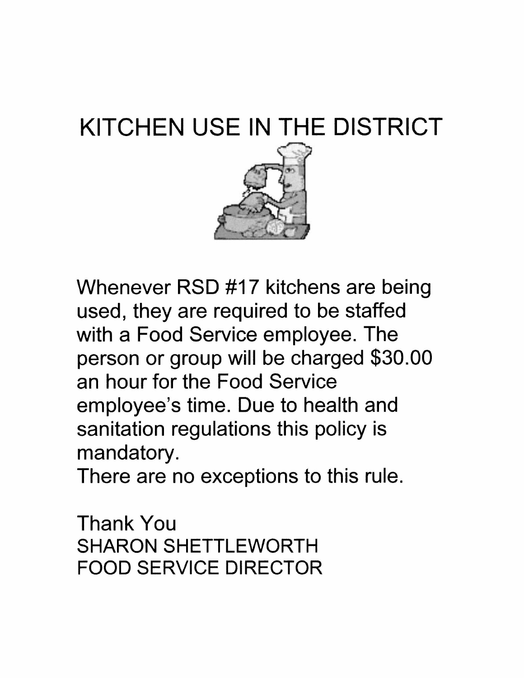# KITCHEN USE IN THE DISTRICT



Whenever RSD #17 kitchens are being used, they are required to be staffed with a Food Service employee. The person or group will be charged \$30.00 an hour for the Food Service employee's time. Due to health and sanitation regulations this policy is mandatory.

There are no exceptions to this rule.

Thank You SHARON SHETTLEWORTH FOOD SERVICE DIRECTOR